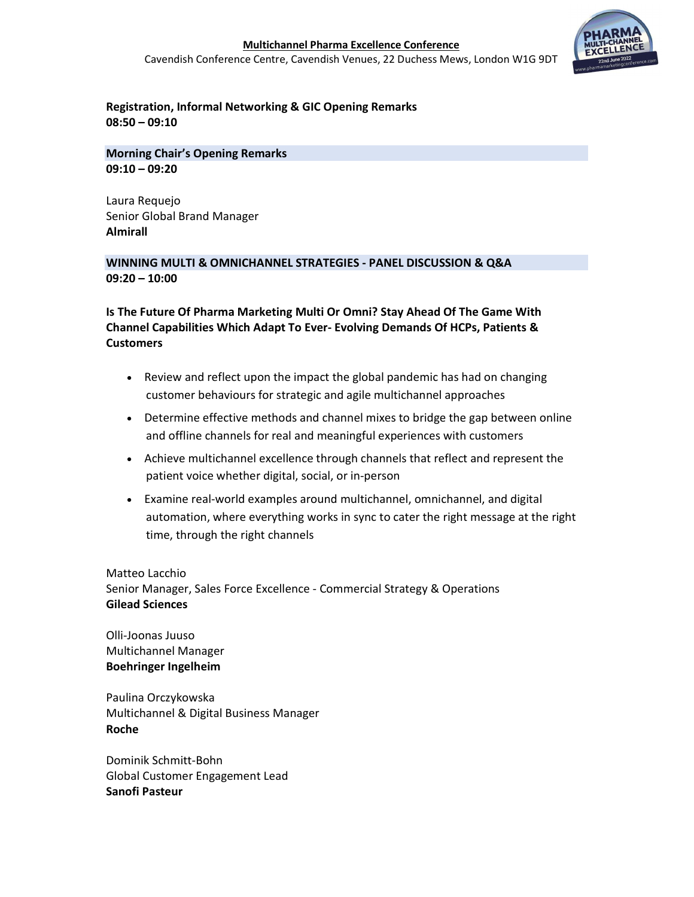

# Registration, Informal Networking & GIC Opening Remarks 08:50 – 09:10

Morning Chair's Opening Remarks 09:10 – 09:20

Laura Requejo Senior Global Brand Manager Almirall

### WINNING MULTI & OMNICHANNEL STRATEGIES - PANEL DISCUSSION & Q&A 09:20 – 10:00

Is The Future Of Pharma Marketing Multi Or Omni? Stay Ahead Of The Game With Channel Capabilities Which Adapt To Ever- Evolving Demands Of HCPs, Patients & **Customers** 

- Review and reflect upon the impact the global pandemic has had on changing customer behaviours for strategic and agile multichannel approaches
- Determine effective methods and channel mixes to bridge the gap between online and offline channels for real and meaningful experiences with customers
- Achieve multichannel excellence through channels that reflect and represent the patient voice whether digital, social, or in-person
- Examine real-world examples around multichannel, omnichannel, and digital automation, where everything works in sync to cater the right message at the right time, through the right channels

Matteo Lacchio Senior Manager, Sales Force Excellence - Commercial Strategy & Operations Gilead Sciences

Olli-Joonas Juuso Multichannel Manager Boehringer Ingelheim

Paulina Orczykowska Multichannel & Digital Business Manager Roche

Dominik Schmitt-Bohn Global Customer Engagement Lead Sanofi Pasteur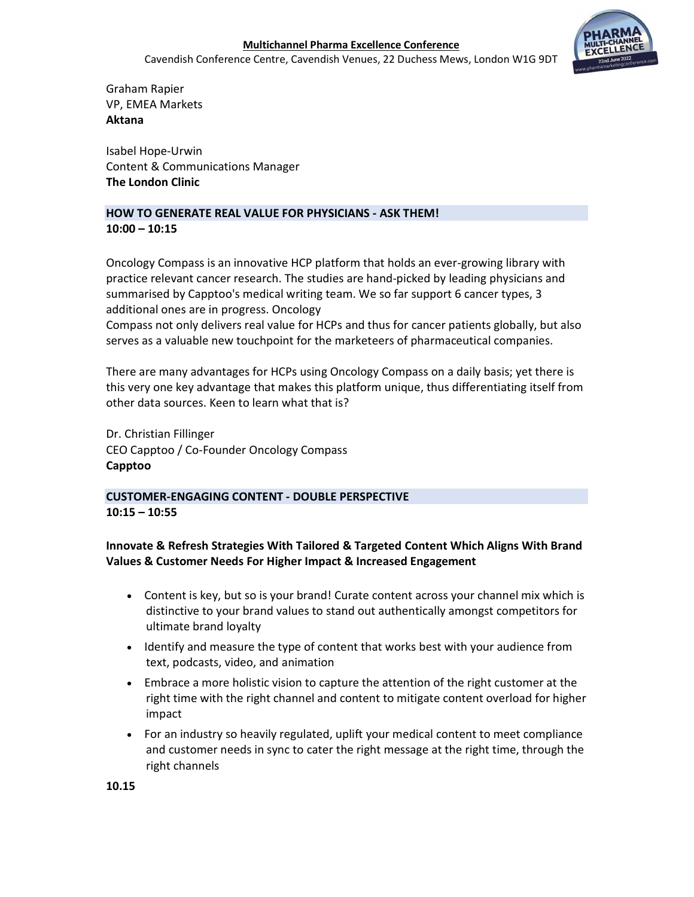Cavendish Conference Centre, Cavendish Venues, 22 Duchess Mews, London W1G 9DT



Graham Rapier VP, EMEA Markets Aktana

Isabel Hope-Urwin Content & Communications Manager The London Clinic

#### HOW TO GENERATE REAL VALUE FOR PHYSICIANS - ASK THEM!  $10:00 - 10:15$

Oncology Compass is an innovative HCP platform that holds an ever-growing library with practice relevant cancer research. The studies are hand-picked by leading physicians and summarised by Capptoo's medical writing team. We so far support 6 cancer types, 3 additional ones are in progress. Oncology

Compass not only delivers real value for HCPs and thus for cancer patients globally, but also serves as a valuable new touchpoint for the marketeers of pharmaceutical companies.

There are many advantages for HCPs using Oncology Compass on a daily basis; yet there is this very one key advantage that makes this platform unique, thus differentiating itself from other data sources. Keen to learn what that is?

Dr. Christian Fillinger CEO Capptoo / Co-Founder Oncology Compass Capptoo

# CUSTOMER-ENGAGING CONTENT - DOUBLE PERSPECTIVE 10:15 – 10:55

Innovate & Refresh Strategies With Tailored & Targeted Content Which Aligns With Brand Values & Customer Needs For Higher Impact & Increased Engagement

- Content is key, but so is your brand! Curate content across your channel mix which is distinctive to your brand values to stand out authentically amongst competitors for ultimate brand loyalty
- Identify and measure the type of content that works best with your audience from text, podcasts, video, and animation
- Embrace a more holistic vision to capture the attention of the right customer at the right time with the right channel and content to mitigate content overload for higher impact
- For an industry so heavily regulated, uplift your medical content to meet compliance and customer needs in sync to cater the right message at the right time, through the right channels

10.15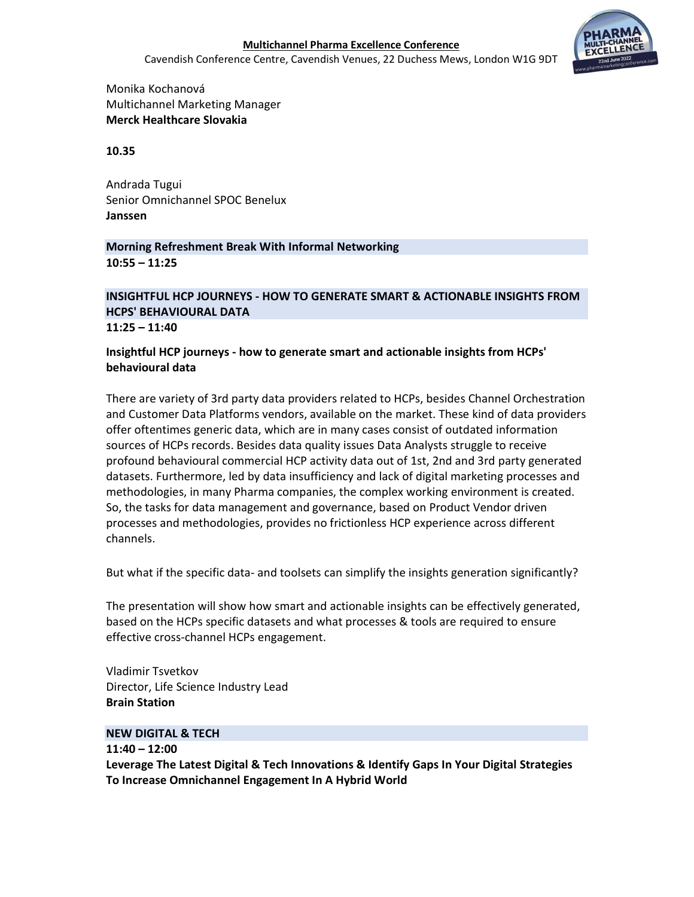Cavendish Conference Centre, Cavendish Venues, 22 Duchess Mews, London W1G 9DT



Monika Kochanová Multichannel Marketing Manager Merck Healthcare Slovakia

### 10.35

Andrada Tugui Senior Omnichannel SPOC Benelux Janssen

### Morning Refreshment Break With Informal Networking 10:55 – 11:25

# INSIGHTFUL HCP JOURNEYS - HOW TO GENERATE SMART & ACTIONABLE INSIGHTS FROM HCPS' BEHAVIOURAL DATA

11:25 – 11:40

# Insightful HCP journeys - how to generate smart and actionable insights from HCPs' behavioural data

There are variety of 3rd party data providers related to HCPs, besides Channel Orchestration and Customer Data Platforms vendors, available on the market. These kind of data providers offer oftentimes generic data, which are in many cases consist of outdated information sources of HCPs records. Besides data quality issues Data Analysts struggle to receive profound behavioural commercial HCP activity data out of 1st, 2nd and 3rd party generated datasets. Furthermore, led by data insufficiency and lack of digital marketing processes and methodologies, in many Pharma companies, the complex working environment is created. So, the tasks for data management and governance, based on Product Vendor driven processes and methodologies, provides no frictionless HCP experience across different channels.

But what if the specific data- and toolsets can simplify the insights generation significantly?

The presentation will show how smart and actionable insights can be effectively generated, based on the HCPs specific datasets and what processes & tools are required to ensure effective cross-channel HCPs engagement.

Vladimir Tsvetkov Director, Life Science Industry Lead Brain Station

#### NEW DIGITAL & TECH

# 11:40 – 12:00

Leverage The Latest Digital & Tech Innovations & Identify Gaps In Your Digital Strategies To Increase Omnichannel Engagement In A Hybrid World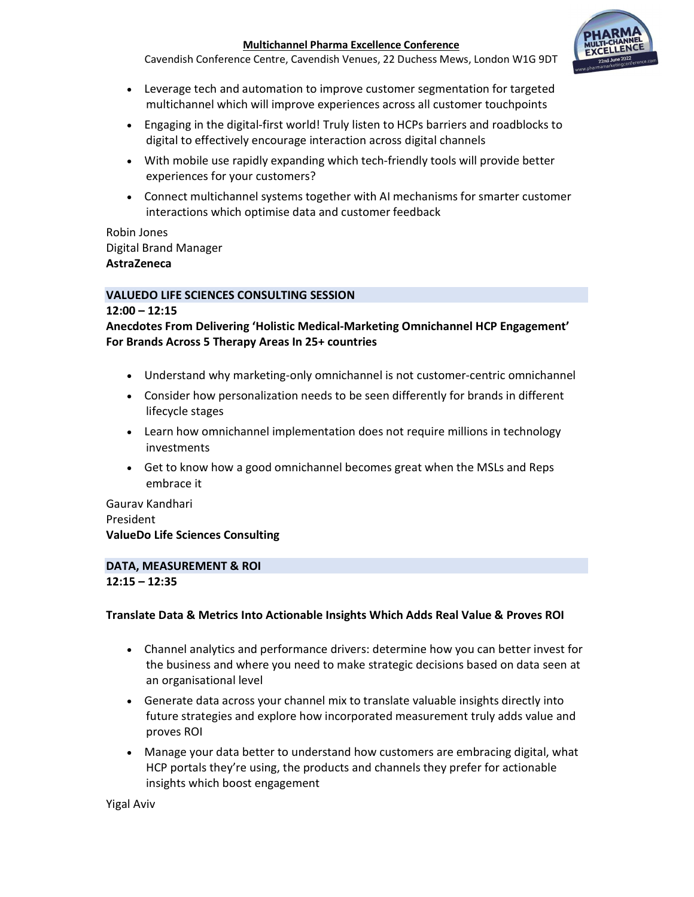Cavendish Conference Centre, Cavendish Venues, 22 Duchess Mews, London W1G 9DT



- Leverage tech and automation to improve customer segmentation for targeted multichannel which will improve experiences across all customer touchpoints
- Engaging in the digital-first world! Truly listen to HCPs barriers and roadblocks to digital to effectively encourage interaction across digital channels
- With mobile use rapidly expanding which tech-friendly tools will provide better experiences for your customers?
- Connect multichannel systems together with AI mechanisms for smarter customer interactions which optimise data and customer feedback

### Robin Jones Digital Brand Manager AstraZeneca

### VALUEDO LIFE SCIENCES CONSULTING SESSION

### 12:00 – 12:15

Anecdotes From Delivering 'Holistic Medical-Marketing Omnichannel HCP Engagement' For Brands Across 5 Therapy Areas In 25+ countries

- Understand why marketing-only omnichannel is not customer-centric omnichannel
- Consider how personalization needs to be seen differently for brands in different lifecycle stages
- Learn how omnichannel implementation does not require millions in technology investments
- Get to know how a good omnichannel becomes great when the MSLs and Reps embrace it

Gaurav Kandhari President ValueDo Life Sciences Consulting

# DATA, MEASUREMENT & ROI

#### 12:15 – 12:35

# Translate Data & Metrics Into Actionable Insights Which Adds Real Value & Proves ROI

- Channel analytics and performance drivers: determine how you can better invest for the business and where you need to make strategic decisions based on data seen at an organisational level
- Generate data across your channel mix to translate valuable insights directly into future strategies and explore how incorporated measurement truly adds value and proves ROI
- Manage your data better to understand how customers are embracing digital, what HCP portals they're using, the products and channels they prefer for actionable insights which boost engagement

Yigal Aviv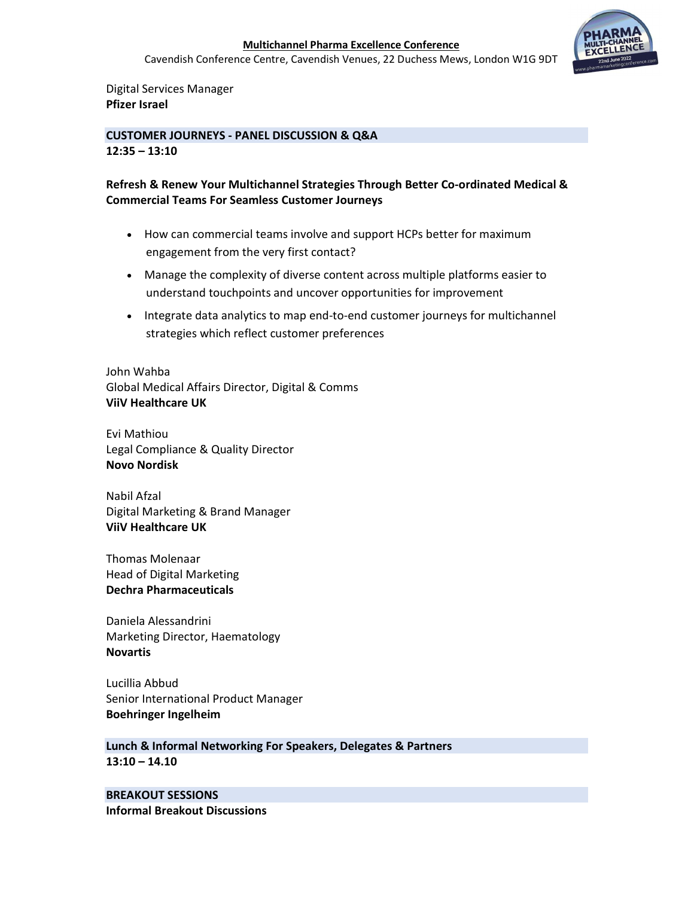Cavendish Conference Centre, Cavendish Venues, 22 Duchess Mews, London W1G 9DT



Digital Services Manager Pfizer Israel

CUSTOMER JOURNEYS - PANEL DISCUSSION & Q&A 12:35 – 13:10

# Refresh & Renew Your Multichannel Strategies Through Better Co-ordinated Medical & Commercial Teams For Seamless Customer Journeys

- How can commercial teams involve and support HCPs better for maximum engagement from the very first contact?
- Manage the complexity of diverse content across multiple platforms easier to understand touchpoints and uncover opportunities for improvement
- Integrate data analytics to map end-to-end customer journeys for multichannel strategies which reflect customer preferences

John Wahba Global Medical Affairs Director, Digital & Comms ViiV Healthcare UK

Evi Mathiou Legal Compliance & Quality Director Novo Nordisk

Nabil Afzal Digital Marketing & Brand Manager ViiV Healthcare UK

Thomas Molenaar Head of Digital Marketing Dechra Pharmaceuticals

Daniela Alessandrini Marketing Director, Haematology Novartis

Lucillia Abbud Senior International Product Manager Boehringer Ingelheim

Lunch & Informal Networking For Speakers, Delegates & Partners 13:10 – 14.10

BREAKOUT SESSIONS Informal Breakout Discussions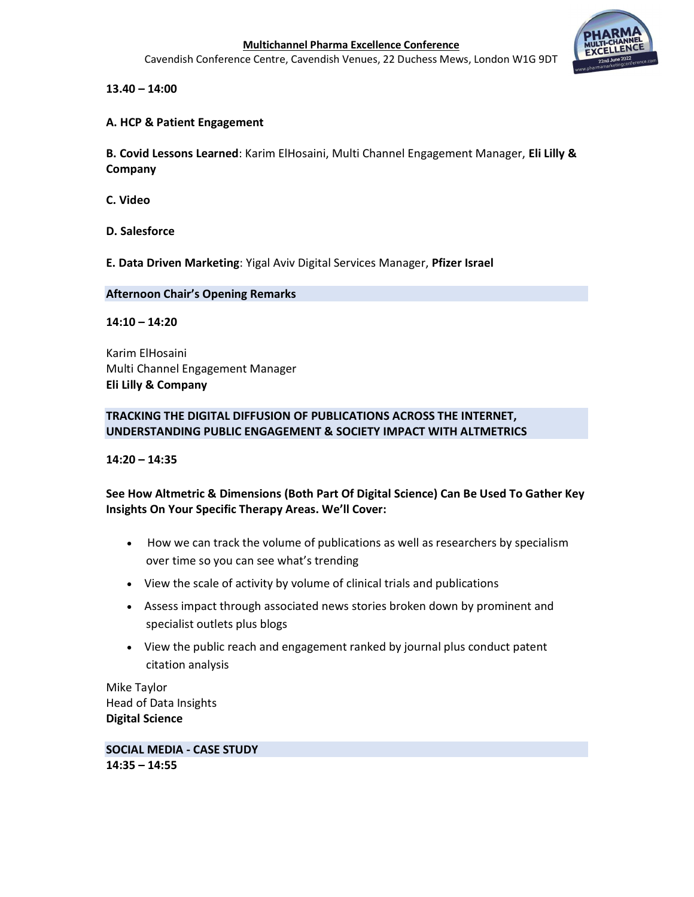Cavendish Conference Centre, Cavendish Venues, 22 Duchess Mews, London W1G 9DT



13.40 – 14:00

### A. HCP & Patient Engagement

B. Covid Lessons Learned: Karim ElHosaini, Multi Channel Engagement Manager, Eli Lilly & Company

C. Video

D. Salesforce

E. Data Driven Marketing: Yigal Aviv Digital Services Manager, Pfizer Israel

#### Afternoon Chair's Opening Remarks

#### 14:10 – 14:20

Karim ElHosaini Multi Channel Engagement Manager Eli Lilly & Company

# TRACKING THE DIGITAL DIFFUSION OF PUBLICATIONS ACROSS THE INTERNET, UNDERSTANDING PUBLIC ENGAGEMENT & SOCIETY IMPACT WITH ALTMETRICS

14:20 – 14:35

# See How Altmetric & Dimensions (Both Part Of Digital Science) Can Be Used To Gather Key Insights On Your Specific Therapy Areas. We'll Cover:

- How we can track the volume of publications as well as researchers by specialism over time so you can see what's trending
- View the scale of activity by volume of clinical trials and publications
- Assess impact through associated news stories broken down by prominent and specialist outlets plus blogs
- View the public reach and engagement ranked by journal plus conduct patent citation analysis

Mike Taylor Head of Data Insights Digital Science

SOCIAL MEDIA - CASE STUDY 14:35 – 14:55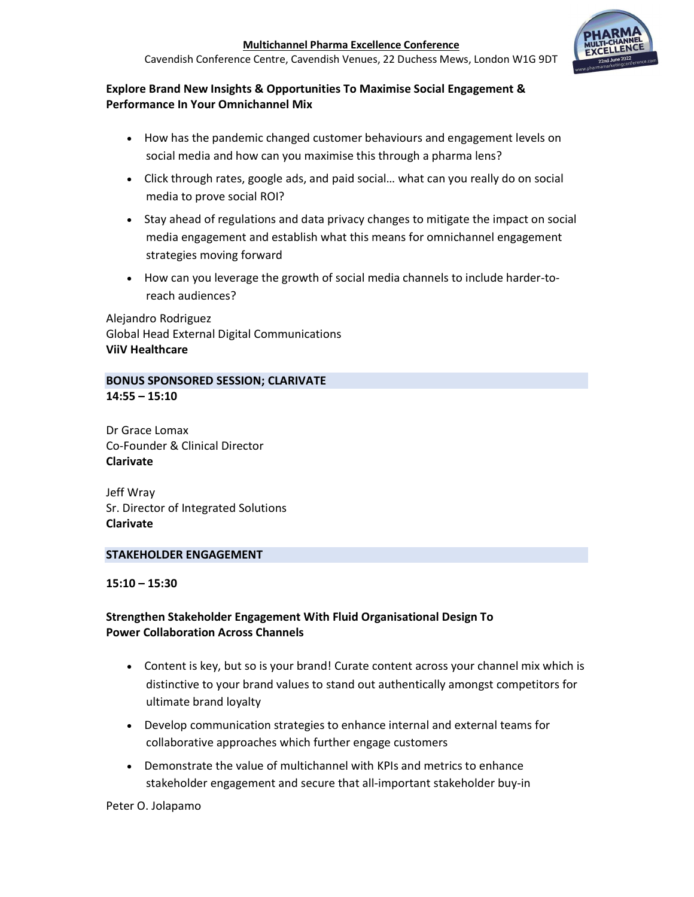Cavendish Conference Centre, Cavendish Venues, 22 Duchess Mews, London W1G 9DT



# Explore Brand New Insights & Opportunities To Maximise Social Engagement & Performance In Your Omnichannel Mix

- How has the pandemic changed customer behaviours and engagement levels on social media and how can you maximise this through a pharma lens?
- Click through rates, google ads, and paid social… what can you really do on social media to prove social ROI?
- Stay ahead of regulations and data privacy changes to mitigate the impact on social media engagement and establish what this means for omnichannel engagement strategies moving forward
- How can you leverage the growth of social media channels to include harder-toreach audiences?

Alejandro Rodriguez Global Head External Digital Communications ViiV Healthcare

# BONUS SPONSORED SESSION; CLARIVATE 14:55 – 15:10

Dr Grace Lomax Co-Founder & Clinical Director Clarivate

Jeff Wray Sr. Director of Integrated Solutions Clarivate

# STAKEHOLDER ENGAGEMENT

15:10 – 15:30

# Strengthen Stakeholder Engagement With Fluid Organisational Design To Power Collaboration Across Channels

- Content is key, but so is your brand! Curate content across your channel mix which is distinctive to your brand values to stand out authentically amongst competitors for ultimate brand loyalty
- Develop communication strategies to enhance internal and external teams for collaborative approaches which further engage customers
- Demonstrate the value of multichannel with KPIs and metrics to enhance stakeholder engagement and secure that all-important stakeholder buy-in

#### Peter O. Jolapamo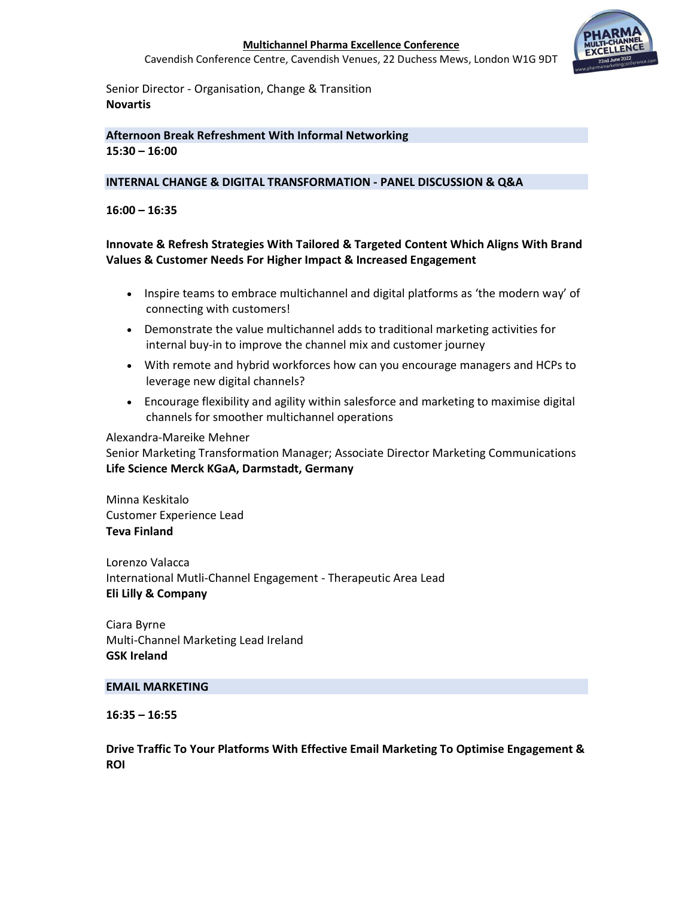Cavendish Conference Centre, Cavendish Venues, 22 Duchess Mews, London W1G 9DT



Senior Director - Organisation, Change & Transition Novartis

### Afternoon Break Refreshment With Informal Networking 15:30 – 16:00

#### INTERNAL CHANGE & DIGITAL TRANSFORMATION - PANEL DISCUSSION & Q&A

#### 16:00 – 16:35

# Innovate & Refresh Strategies With Tailored & Targeted Content Which Aligns With Brand Values & Customer Needs For Higher Impact & Increased Engagement

- Inspire teams to embrace multichannel and digital platforms as 'the modern way' of connecting with customers!
- Demonstrate the value multichannel adds to traditional marketing activities for internal buy-in to improve the channel mix and customer journey
- With remote and hybrid workforces how can you encourage managers and HCPs to leverage new digital channels?
- Encourage flexibility and agility within salesforce and marketing to maximise digital channels for smoother multichannel operations

#### Alexandra-Mareike Mehner

Senior Marketing Transformation Manager; Associate Director Marketing Communications Life Science Merck KGaA, Darmstadt, Germany

Minna Keskitalo Customer Experience Lead Teva Finland

Lorenzo Valacca International Mutli-Channel Engagement - Therapeutic Area Lead Eli Lilly & Company

Ciara Byrne Multi-Channel Marketing Lead Ireland GSK Ireland

#### EMAIL MARKETING

16:35 – 16:55

Drive Traffic To Your Platforms With Effective Email Marketing To Optimise Engagement & ROI